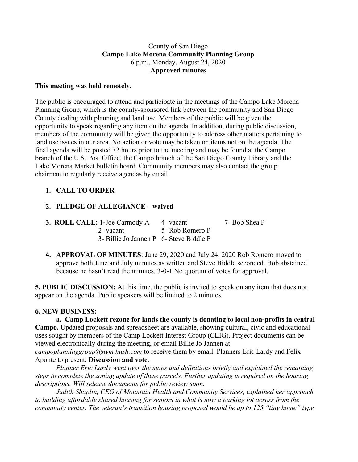#### County of San Diego **Campo Lake Morena Community Planning Group** 6 p.m., Monday, August 24, 2020 **Approved minutes**

#### **This meeting was held remotely.**

The public is encouraged to attend and participate in the meetings of the Campo Lake Morena Planning Group, which is the county-sponsored link between the community and San Diego County dealing with planning and land use. Members of the public will be given the opportunity to speak regarding any item on the agenda. In addition, during public discussion, members of the community will be given the opportunity to address other matters pertaining to land use issues in our area. No action or vote may be taken on items not on the agenda. The final agenda will be posted 72 hours prior to the meeting and may be found at the Campo branch of the U.S. Post Office, the Campo branch of the San Diego County Library and the Lake Morena Market bulletin board. Community members may also contact the group chairman to regularly receive agendas by email.

## **1. CALL TO ORDER**

## **2. PLEDGE OF ALLEGIANCE – waived**

| <b>3. ROLL CALL:</b> 1-Joe Carmody A 4- vacant |                 | 7- Bob Shea P |
|------------------------------------------------|-----------------|---------------|
| 2- vacant                                      | 5- Rob Romero P |               |
| 3- Billie Jo Jannen P 6- Steve Biddle P        |                 |               |

**4. APPROVAL OF MINUTES**: June 29, 2020 and July 24, 2020 Rob Romero moved to approve both June and July minutes as written and Steve Biddle seconded. Bob abstained because he hasn't read the minutes. 3-0-1 No quorum of votes for approval.

**5. PUBLIC DISCUSSION:** At this time, the public is invited to speak on any item that does not appear on the agenda. Public speakers will be limited to 2 minutes.

## **6. NEW BUSINESS:**

**a. Camp Lockett rezone for lands the county is donating to local non-profits in central Campo.** Updated proposals and spreadsheet are available, showing cultural, civic and educational uses sought by members of the Camp Lockett Interest Group (CLIG). Project documents can be viewed electronically during the meeting, or email Billie Jo Jannen at

*campoplanninggroup@nym.hush.com* to receive them by email. Planners Eric Lardy and Felix Aponte to present. **Discussion and vote.**

*Planner Eric Lardy went over the maps and definitions briefly and explained the remaining steps to complete the zoning update of these parcels. Further updating is required on the housing descriptions. Will release documents for public review soon.*

*Judith Shaplin, CEO of Mountain Health and Community Services, explained her approach to building affordable shared housing for seniors in what is now a parking lot across from the community center. The veteran's transition housing proposed would be up to 125 "tiny home" type*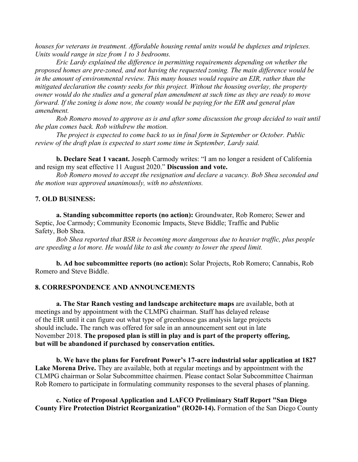*houses for veterans in treatment. Affordable housing rental units would be duplexes and triplexes. Units would range in size from 1 to 3 bedrooms.*

*Eric Lardy explained the difference in permitting requirements depending on whether the proposed homes are pre-zoned, and not having the requested zoning. The main difference would be in the amount of environmental review. This many houses would require an EIR, rather than the mitigated declaration the county seeks for this project. Without the housing overlay, the property* owner would do the studies and a general plan amendment at such time as they are ready to move *forward. If the zoning is done now, the county would be paying for the EIR and general plan amendment.*

*Rob Romero moved to approve as is and after some discussion the group decided to wait until the plan comes back. Rob withdrew the motion.*

*The project is expected to come back to us in final form in September or October. Public review of the draft plan is expected to start some time in September, Lardy said.*

**b. Declare Seat 1 vacant.** Joseph Carmody writes: "I am no longer a resident of California and resign my seat effective 11 August 2020." **Discussion and vote.**

*Rob Romero moved to accept the resignation and declare a vacancy. Bob Shea seconded and the motion was approved unanimously, with no abstentions.*

#### **7. OLD BUSINESS:**

**a. Standing subcommittee reports (no action):** Groundwater, Rob Romero; Sewer and Septic, Joe Carmody; Community Economic Impacts, Steve Biddle; Traffic and Public Safety, Bob Shea.

*Bob Shea reported that BSR is becoming more dangerous due to heavier traffic, plus people are speeding a lot more. He would like to ask the county to lower the speed limit.*

**b. Ad hoc subcommittee reports (no action):** Solar Projects, Rob Romero; Cannabis, Rob Romero and Steve Biddle.

#### **8. CORRESPONDENCE AND ANNOUNCEMENTS**

**a. The Star Ranch vesting and landscape architecture maps** are available, both at meetings and by appointment with the CLMPG chairman. Staff has delayed release of the EIR until it can figure out what type of greenhouse gas analysis large projects should include**.** The ranch was offered for sale in an announcement sent out in late November 2018. **The proposed plan is still in play and is part of the property offering, but will be abandoned if purchased by conservation entities.**

**b. We have the plans for Forefront Power's 17-acre industrial solar application at 1827 Lake Morena Drive.** They are available, both at regular meetings and by appointment with the CLMPG chairman or Solar Subcommittee chairmen. Please contact Solar Subcommittee Chairman Rob Romero to participate in formulating community responses to the several phases of planning.

**c. Notice of Proposal Application and LAFCO Preliminary Staff Report "San Diego County Fire Protection District Reorganization" (RO20-14).** Formation of the San Diego County